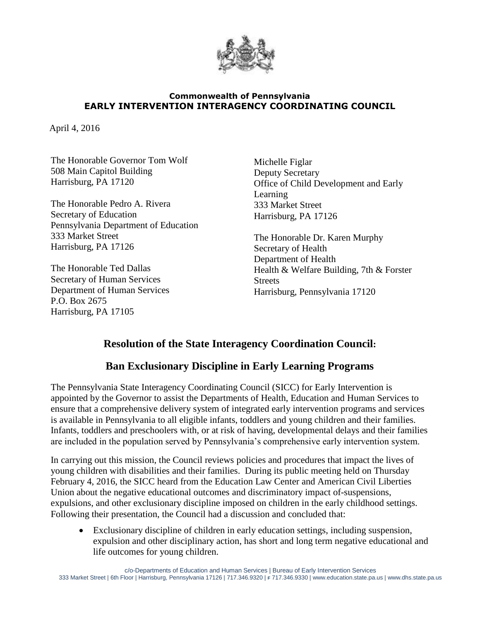

## **Commonwealth of Pennsylvania EARLY INTERVENTION INTERAGENCY COORDINATING COUNCIL**

April 4, 2016

The Honorable Governor Tom Wolf 508 Main Capitol Building Harrisburg, PA 17120

The Honorable Pedro A. Rivera Secretary of Education Pennsylvania Department of Education 333 Market Street Harrisburg, PA 17126

The Honorable Ted Dallas Secretary of Human Services Department of Human Services P.O. Box 2675 Harrisburg, PA 17105

Michelle Figlar Deputy Secretary Office of Child Development and Early Learning 333 Market Street Harrisburg, PA 17126

The Honorable Dr. Karen Murphy Secretary of Health Department of Health Health & Welfare Building, 7th & Forster Streets Harrisburg, Pennsylvania 17120

## **Resolution of the State Interagency Coordination Council:**

## **Ban Exclusionary Discipline in Early Learning Programs**

The Pennsylvania State Interagency Coordinating Council (SICC) for Early Intervention is appointed by the Governor to assist the Departments of Health, Education and Human Services to ensure that a comprehensive delivery system of integrated early intervention programs and services is available in Pennsylvania to all eligible infants, toddlers and young children and their families. Infants, toddlers and preschoolers with, or at risk of having, developmental delays and their families are included in the population served by Pennsylvania's comprehensive early intervention system.

In carrying out this mission, the Council reviews policies and procedures that impact the lives of young children with disabilities and their families. During its public meeting held on Thursday February 4, 2016, the SICC heard from the Education Law Center and American Civil Liberties Union about the negative educational outcomes and discriminatory impact of-suspensions, expulsions, and other exclusionary discipline imposed on children in the early childhood settings. Following their presentation, the Council had a discussion and concluded that:

 Exclusionary discipline of children in early education settings, including suspension, expulsion and other disciplinary action, has short and long term negative educational and life outcomes for young children.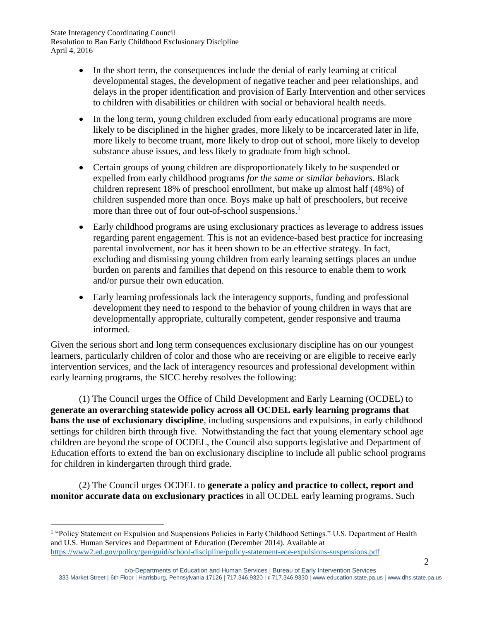State Interagency Coordinating Council Resolution to Ban Early Childhood Exclusionary Discipline April 4, 2016

- In the short term, the consequences include the denial of early learning at critical developmental stages, the development of negative teacher and peer relationships, and delays in the proper identification and provision of Early Intervention and other services to children with disabilities or children with social or behavioral health needs.
- In the long term, young children excluded from early educational programs are more likely to be disciplined in the higher grades, more likely to be incarcerated later in life, more likely to become truant, more likely to drop out of school, more likely to develop substance abuse issues, and less likely to graduate from high school.
- Certain groups of young children are disproportionately likely to be suspended or expelled from early childhood programs *for the same or similar behaviors*. Black children represent 18% of preschool enrollment, but make up almost half (48%) of children suspended more than once. Boys make up half of preschoolers, but receive more than three out of four out-of-school suspensions. 1
- Early childhood programs are using exclusionary practices as leverage to address issues regarding parent engagement. This is not an evidence-based best practice for increasing parental involvement, nor has it been shown to be an effective strategy. In fact, excluding and dismissing young children from early learning settings places an undue burden on parents and families that depend on this resource to enable them to work and/or pursue their own education.
- Early learning professionals lack the interagency supports, funding and professional development they need to respond to the behavior of young children in ways that are developmentally appropriate, culturally competent, gender responsive and trauma informed.

Given the serious short and long term consequences exclusionary discipline has on our youngest learners, particularly children of color and those who are receiving or are eligible to receive early intervention services, and the lack of interagency resources and professional development within early learning programs, the SICC hereby resolves the following:

(1) The Council urges the Office of Child Development and Early Learning (OCDEL) to **generate an overarching statewide policy across all OCDEL early learning programs that bans the use of exclusionary discipline**, including suspensions and expulsions, in early childhood settings for children birth through five. Notwithstanding the fact that young elementary school age children are beyond the scope of OCDEL, the Council also supports legislative and Department of Education efforts to extend the ban on exclusionary discipline to include all public school programs for children in kindergarten through third grade.

(2) The Council urges OCDEL to **generate a policy and practice to collect, report and monitor accurate data on exclusionary practices** in all OCDEL early learning programs. Such

 $\overline{a}$ 

<sup>&</sup>lt;sup>1</sup> "Policy Statement on Expulsion and Suspensions Policies in Early Childhood Settings." U.S. Department of Health and U.S. Human Services and Department of Education (December 2014). Available at <https://www2.ed.gov/policy/gen/guid/school-discipline/policy-statement-ece-expulsions-suspensions.pdf>

c/o-Departments of Education and Human Services | Bureau of Early Intervention Services 333 Market Street | 6th Floor | Harrisburg, Pennsylvania 17126 | 717.346.9320 | **F** 717.346.9330 | www.education.state.pa.us | www.dhs.state.pa.us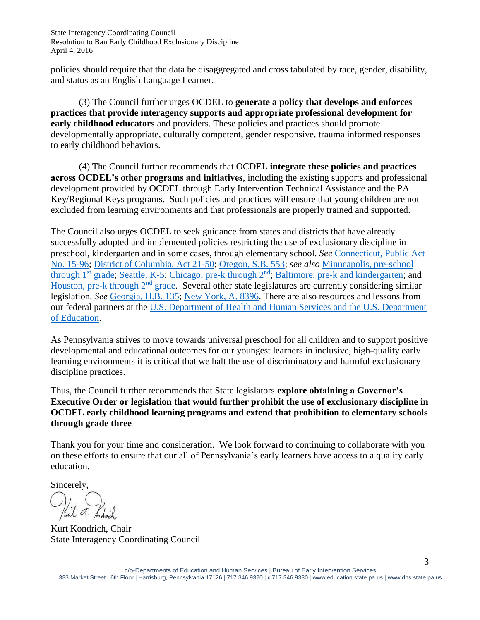State Interagency Coordinating Council Resolution to Ban Early Childhood Exclusionary Discipline April 4, 2016

policies should require that the data be disaggregated and cross tabulated by race, gender, disability, and status as an English Language Learner.

(3) The Council further urges OCDEL to **generate a policy that develops and enforces practices that provide interagency supports and appropriate professional development for early childhood educators** and providers. These policies and practices should promote developmentally appropriate, culturally competent, gender responsive, trauma informed responses to early childhood behaviors.

(4) The Council further recommends that OCDEL **integrate these policies and practices across OCDEL's other programs and initiatives**, including the existing supports and professional development provided by OCDEL through Early Intervention Technical Assistance and the PA Key/Regional Keys programs. Such policies and practices will ensure that young children are not excluded from learning environments and that professionals are properly trained and supported.

The Council also urges OCDEL to seek guidance from states and districts that have already successfully adopted and implemented policies restricting the use of exclusionary discipline in preschool, kindergarten and in some cases, through elementary school. *See* [Connecticut, Public Act](https://www.cga.ct.gov/2015/act/pa/pdf/2015PA-00096-R00SB-01053-PA.pdf)  [No. 15-96;](https://www.cga.ct.gov/2015/act/pa/pdf/2015PA-00096-R00SB-01053-PA.pdf) [District of Columbia, Act 21-50;](https://trackbill.com/s3/bills/DC/21/B/1/texts/signedact.pdf) [Oregon, S.B. 553;](https://olis.leg.state.or.us/liz/2015R1/Downloads/MeasureDocument/SB553/Enrolled) *see also* [Minneapolis, pre-school](http://www.mpls.k12.mn.us/uploads/faq_moratorium_9-5-14_web.pdf)  [through 1](http://www.mpls.k12.mn.us/uploads/faq_moratorium_9-5-14_web.pdf)<sup>st</sup> grade; [Seattle, K-5;](http://www.seattleschools.org/UserFiles/Servers/Server_543/File/District/Departments/School%20Board/15-16agendas/092315agenda/20150923_SuspensionResolution.pdf) [Chicago, pre-k through 2](http://policy.cps.edu/download.aspx?ID=263)<sup>nd</sup>; [Baltimore, pre-k and kindergarten;](http://csgjusticecenter.org/youth/media-clips/city-seeks-to-curb-pre-k-and-kindergarten-suspensions/) and [Houston, pre-k](http://www.houstonchronicle.com/news/article/HISD-board-approves-wide-ranging-changes-6760464.php) through 2<sup>nd</sup> grade. Several other state legislatures are currently considering similar legislation. *See* [Georgia, H.B. 135;](http://www.legis.ga.gov/Legislation/en-US/display/20152016/HB/135) [New York, A. 8396.](http://www.aqeny.org/2015/10/press-release-former-chief-justice-judith-kaye-assembly-education-chairwoman-catherine-nolan-join-coalition-seeking-legislation-for-comprehensive-reform-of-school-discipline/) There are also resources and lessons from our federal partners at the [U.S. Department of Health and Human Services and the U.S. Department](https://www2.ed.gov/policy/gen/guid/school-discipline/policy-statement-ece-expulsions-suspensions.pdf)  [of Education.](https://www2.ed.gov/policy/gen/guid/school-discipline/policy-statement-ece-expulsions-suspensions.pdf)

As Pennsylvania strives to move towards universal preschool for all children and to support positive developmental and educational outcomes for our youngest learners in inclusive, high-quality early learning environments it is critical that we halt the use of discriminatory and harmful exclusionary discipline practices.

Thus, the Council further recommends that State legislators **explore obtaining a Governor's Executive Order or legislation that would further prohibit the use of exclusionary discipline in OCDEL early childhood learning programs and extend that prohibition to elementary schools through grade three**

Thank you for your time and consideration. We look forward to continuing to collaborate with you on these efforts to ensure that our all of Pennsylvania's early learners have access to a quality early education.

Sincerely,

Kurt Kondrich, Chair State Interagency Coordinating Council